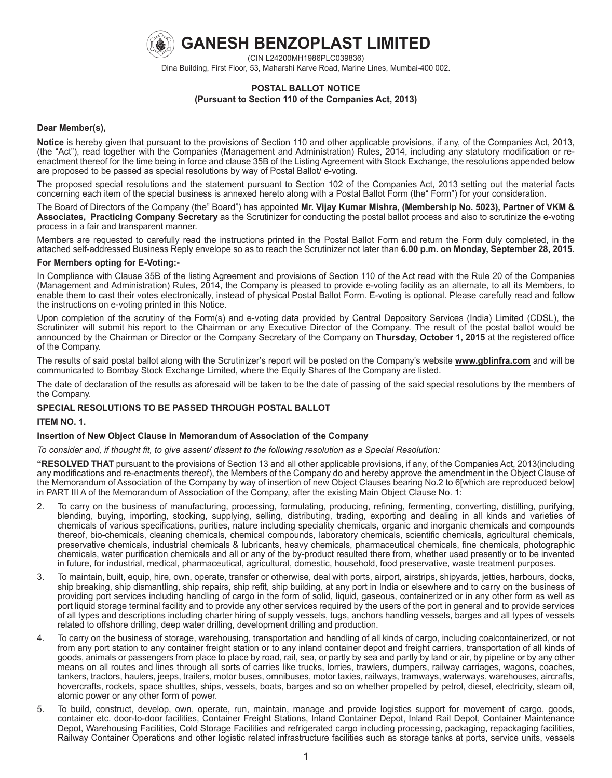

**GANESH BENZOPLAST LIMITED**

(CIN L24200MH1986PLC039836)

Dina Building, First Floor, 53, Maharshi Karve Road, Marine Lines, Mumbai-400 002.

## **POSTAL BALLOT NOTICE (Pursuant to Section 110 of the Companies Act, 2013)**

### **Dear Member(s),**

**Notice** is hereby given that pursuant to the provisions of Section 110 and other applicable provisions, if any, of the Companies Act, 2013, (the "Act"), read together with the Companies (Management and Administration) Rules, 2014, including any statutory modification or reenactment thereof for the time being in force and clause 35B of the Listing Agreement with Stock Exchange, the resolutions appended below are proposed to be passed as special resolutions by way of Postal Ballot/ e-voting.

The proposed special resolutions and the statement pursuant to Section 102 of the Companies Act, 2013 setting out the material facts concerning each item of the special business is annexed hereto along with a Postal Ballot Form (the" Form") for your consideration.

The Board of Directors of the Company (the" Board") has appointed **Mr. Vijay Kumar Mishra, (Membership No. 5023), Partner of VKM & Associates, Practicing Company Secretary** as the Scrutinizer for conducting the postal ballot process and also to scrutinize the e-voting process in a fair and transparent manner.

Members are requested to carefully read the instructions printed in the Postal Ballot Form and return the Form duly completed, in the attached self-addressed Business Reply envelope so as to reach the Scrutinizer not later than **6.00 p.m. on Monday, September 28, 2015.**

### **For Members opting for E-Voting:-**

In Compliance with Clause 35B of the listing Agreement and provisions of Section 110 of the Act read with the Rule 20 of the Companies (Management and Administration) Rules, 2014, the Company is pleased to provide e-voting facility as an alternate, to all its Members, to enable them to cast their votes electronically, instead of physical Postal Ballot Form. E-voting is optional. Please carefully read and follow the instructions on e-voting printed in this Notice.

Upon completion of the scrutiny of the Form(s) and e-voting data provided by Central Depository Services (India) Limited (CDSL), the Scrutinizer will submit his report to the Chairman or any Executive Director of the Company. The result of the postal ballot would be announced by the Chairman or Director or the Company Secretary of the Company on **Thursday, October 1, 2015** at the registered office of the Company.

The results of said postal ballot along with the Scrutinizer's report will be posted on the Company's website **www.gblinfra.com** and will be communicated to Bombay Stock Exchange Limited, where the Equity Shares of the Company are listed.

The date of declaration of the results as aforesaid will be taken to be the date of passing of the said special resolutions by the members of the Company.

## **SPECIAL RESOLUTIONS TO BE PASSED THROUGH POSTAL BALLOT**

## **ITEM NO. 1.**

## **Insertion of New Object Clause in Memorandum of Association of the Company**

*To consider and, if thought fit, to give assent/ dissent to the following resolution as a Special Resolution:*

**"RESOLVED THAT** pursuant to the provisions of Section 13 and all other applicable provisions, if any, of the Companies Act, 2013(including any modifications and re-enactments thereof), the Members of the Company do and hereby approve the amendment in the Object Clause of the Memorandum of Association of the Company by way of insertion of new Object Clauses bearing No.2 to 6[which are reproduced below] in PART III A of the Memorandum of Association of the Company, after the existing Main Object Clause No. 1:

- 2. To carry on the business of manufacturing, processing, formulating, producing, refining, fermenting, converting, distilling, purifying, blending, buying, importing, stocking, supplying, selling, distributing, trading, exporting and dealing in all kinds and varieties of chemicals of various specifications, purities, nature including speciality chemicals, organic and inorganic chemicals and compounds thereof, bio-chemicals, cleaning chemicals, chemical compounds, laboratory chemicals, scientific chemicals, agricultural chemicals, preservative chemicals, industrial chemicals & lubricants, heavy chemicals, pharmaceutical chemicals, fine chemicals, photographic chemicals, water purification chemicals and all or any of the by-product resulted there from, whether used presently or to be invented in future, for industrial, medical, pharmaceutical, agricultural, domestic, household, food preservative, waste treatment purposes.
- 3. To maintain, built, equip, hire, own, operate, transfer or otherwise, deal with ports, airport, airstrips, shipyards, jetties, harbours, docks, ship breaking, ship dismantling, ship repairs, ship refit, ship building, at any port in India or elsewhere and to carry on the business of providing port services including handling of cargo in the form of solid, liquid, gaseous, containerized or in any other form as well as port liquid storage terminal facility and to provide any other services required by the users of the port in general and to provide services of all types and descriptions including charter hiring of supply vessels, tugs, anchors handling vessels, barges and all types of vessels related to offshore drilling, deep water drilling, development drilling and production.
- 4. To carry on the business of storage, warehousing, transportation and handling of all kinds of cargo, including coalcontainerized, or not from any port station to any container freight station or to any inland container depot and freight carriers, transportation of all kinds of goods, animals or passengers from place to place by road, rail, sea, or partly by sea and partly by land or air, by pipeline or by any other means on all routes and lines through all sorts of carries like trucks, lorries, trawlers, dumpers, railway carriages, wagons, coaches, tankers, tractors, haulers, jeeps, trailers, motor buses, omnibuses, motor taxies, railways, tramways, waterways, warehouses, aircrafts, hovercrafts, rockets, space shuttles, ships, vessels, boats, barges and so on whether propelled by petrol, diesel, electricity, steam oil, atomic power or any other form of power.
- 5. To build, construct, develop, own, operate, run, maintain, manage and provide logistics support for movement of cargo, goods, container etc. door-to-door facilities, Container Freight Stations, Inland Container Depot, Inland Rail Depot, Container Maintenance Depot, Warehousing Facilities, Cold Storage Facilities and refrigerated cargo including processing, packaging, repackaging facilities, Railway Container Operations and other logistic related infrastructure facilities such as storage tanks at ports, service units, vessels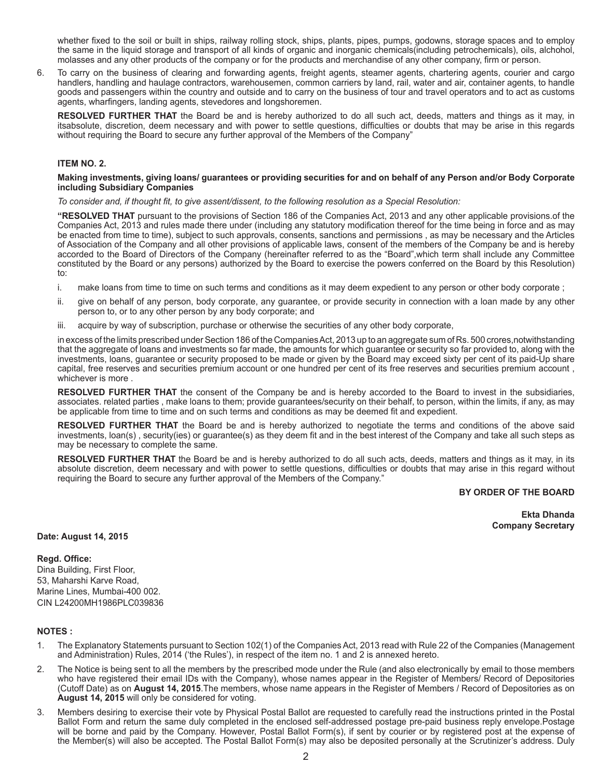whether fixed to the soil or built in ships, railway rolling stock, ships, plants, pipes, pumps, godowns, storage spaces and to employ the same in the liquid storage and transport of all kinds of organic and inorganic chemicals(including petrochemicals), oils, alchohol, molasses and any other products of the company or for the products and merchandise of any other company, firm or person.

6. To carry on the business of clearing and forwarding agents, freight agents, steamer agents, chartering agents, courier and cargo handlers, handling and haulage contractors, warehousemen, common carriers by land, rail, water and air, container agents, to handle goods and passengers within the country and outside and to carry on the business of tour and travel operators and to act as customs agents, wharfingers, landing agents, stevedores and longshoremen.

**RESOLVED FURTHER THAT** the Board be and is hereby authorized to do all such act, deeds, matters and things as it may, in itsabsolute, discretion, deem necessary and with power to settle questions, difficulties or doubts that may be arise in this regards without requiring the Board to secure any further approval of the Members of the Company"

## **ITEM NO. 2.**

#### **Making investments, giving loans/ guarantees or providing securities for and on behalf of any Person and/or Body Corporate including Subsidiary Companies**

*To consider and, if thought fit, to give assent/dissent, to the following resolution as a Special Resolution:*

**"RESOLVED THAT** pursuant to the provisions of Section 186 of the Companies Act, 2013 and any other applicable provisions.of the Companies Act, 2013 and rules made there under (including any statutory modification thereof for the time being in force and as may be enacted from time to time), subject to such approvals, consents, sanctions and permissions , as may be necessary and the Articles of Association of the Company and all other provisions of applicable laws, consent of the members of the Company be and is hereby accorded to the Board of Directors of the Company (hereinafter referred to as the "Board",which term shall include any Committee constituted by the Board or any persons) authorized by the Board to exercise the powers conferred on the Board by this Resolution) to:

- i. make loans from time to time on such terms and conditions as it may deem expedient to any person or other body corporate ;
- ii. give on behalf of any person, body corporate, any guarantee, or provide security in connection with a loan made by any other person to, or to any other person by any body corporate; and
- iii. acquire by way of subscription, purchase or otherwise the securities of any other body corporate,

in excess of the limits prescribed under Section 186 of the Companies Act, 2013 up to an aggregate sum of Rs. 500 crores,notwithstanding that the aggregate of loans and investments so far made, the amounts for which guarantee or security so far provided to, along with the investments, loans, guarantee or security proposed to be made or given by the Board may exceed sixty per cent of its paid-Up share capital, free reserves and securities premium account or one hundred per cent of its free reserves and securities premium account , whichever is more .

**RESOLVED FURTHER THAT** the consent of the Company be and is hereby accorded to the Board to invest in the subsidiaries, associates. related parties , make loans to them; provide guarantees/security on their behalf, to person, within the limits, if any, as may be applicable from time to time and on such terms and conditions as may be deemed fit and expedient.

**RESOLVED FURTHER THAT** the Board be and is hereby authorized to negotiate the terms and conditions of the above said investments, loan(s) , security(ies) or guarantee(s) as they deem fit and in the best interest of the Company and take all such steps as may be necessary to complete the same.

**RESOLVED FURTHER THAT** the Board be and is hereby authorized to do all such acts, deeds, matters and things as it may, in its absolute discretion, deem necessary and with power to settle questions, difficulties or doubts that may arise in this regard without requiring the Board to secure any further approval of the Members of the Company."

### **BY ORDER OF THE BOARD**

**Ekta Dhanda Company Secretary**

#### **Date: August 14, 2015**

#### **Regd. Office:**

Dina Building, First Floor, 53, Maharshi Karve Road, Marine Lines, Mumbai-400 002. CIN L24200MH1986PLC039836

## **NOTES :**

- 1. The Explanatory Statements pursuant to Section 102(1) of the Companies Act, 2013 read with Rule 22 of the Companies (Management and Administration) Rules, 2014 ('the Rules'), in respect of the item no. 1 and 2 is annexed hereto.
- 2. The Notice is being sent to all the members by the prescribed mode under the Rule (and also electronically by email to those members who have registered their email IDs with the Company), whose names appear in the Register of Members/ Record of Depositories (Cutoff Date) as on **August 14, 2015**.The members, whose name appears in the Register of Members / Record of Depositories as on **August 14, 2015** will only be considered for voting.
- 3. Members desiring to exercise their vote by Physical Postal Ballot are requested to carefully read the instructions printed in the Postal Ballot Form and return the same duly completed in the enclosed self-addressed postage pre-paid business reply envelope.Postage will be borne and paid by the Company. However, Postal Ballot Form(s), if sent by courier or by registered post at the expense of the Member(s) will also be accepted. The Postal Ballot Form(s) may also be deposited personally at the Scrutinizer's address. Duly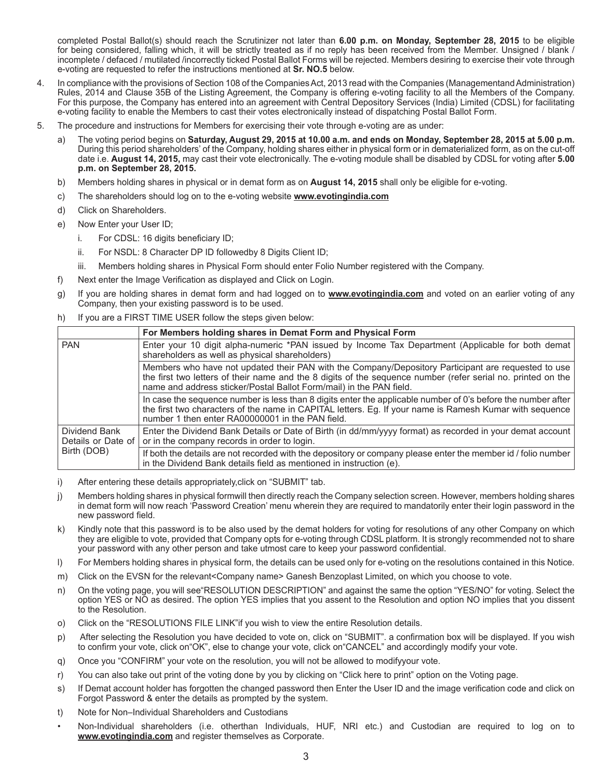completed Postal Ballot(s) should reach the Scrutinizer not later than **6.00 p.m. on Monday, September 28, 2015** to be eligible for being considered, falling which, it will be strictly treated as if no reply has been received from the Member. Unsigned / blank / incomplete / defaced / mutilated /incorrectly ticked Postal Ballot Forms will be rejected. Members desiring to exercise their vote through e-voting are requested to refer the instructions mentioned at **Sr. NO.5** below.

- 4. In compliance with the provisions of Section 108 of the Companies Act, 2013 read with the Companies (Managementand Administration) Rules, 2014 and Clause 35B of the Listing Agreement, the Company is offering e-voting facility to all the Members of the Company. For this purpose, the Company has entered into an agreement with Central Depository Services (India) Limited (CDSL) for facilitating e-voting facility to enable the Members to cast their votes electronically instead of dispatching Postal Ballot Form.
- 5. The procedure and instructions for Members for exercising their vote through e-voting are as under:
	- a) The voting period begins on **Saturday, August 29, 2015 at 10.00 a.m. and ends on Monday, September 28, 2015 at 5.00 p.m.** During this period shareholders' of the Company, holding shares either in physical form or in dematerialized form, as on the cut-off date i.e. **August 14, 2015,** may cast their vote electronically. The e-voting module shall be disabled by CDSL for voting after **5.00 p.m. on September 28, 2015.**
	- b) Members holding shares in physical or in demat form as on **August 14, 2015** shall only be eligible for e-voting.
	- c) The shareholders should log on to the e-voting website **www.evotingindia.com**
	- d) Click on Shareholders.
	- e) Now Enter your User ID;
		- i. For CDSL: 16 digits beneficiary ID;
		- ii. For NSDL: 8 Character DP ID followedby 8 Digits Client ID;
		- iii. Members holding shares in Physical Form should enter Folio Number registered with the Company.
	- f) Next enter the Image Verification as displayed and Click on Login.
	- g) If you are holding shares in demat form and had logged on to **www.evotingindia.com** and voted on an earlier voting of any Company, then your existing password is to be used.
	- h) If you are a FIRST TIME USER follow the steps given below:

|                                                    | For Members holding shares in Demat Form and Physical Form                                                                                                                                                                                                                                 |
|----------------------------------------------------|--------------------------------------------------------------------------------------------------------------------------------------------------------------------------------------------------------------------------------------------------------------------------------------------|
| <b>PAN</b>                                         | Enter your 10 digit alpha-numeric *PAN issued by Income Tax Department (Applicable for both demat<br>shareholders as well as physical shareholders)                                                                                                                                        |
|                                                    | Members who have not updated their PAN with the Company/Depository Participant are requested to use<br>the first two letters of their name and the 8 digits of the sequence number (refer serial no. printed on the<br>name and address sticker/Postal Ballot Form/mail) in the PAN field. |
|                                                    | In case the sequence number is less than 8 digits enter the applicable number of 0's before the number after<br>the first two characters of the name in CAPITAL letters. Eq. If your name is Ramesh Kumar with sequence<br>number 1 then enter RA00000001 in the PAN field.                |
| Dividend Bank<br>Details or Date of<br>Birth (DOB) | Enter the Dividend Bank Details or Date of Birth (in dd/mm/yyyy format) as recorded in your demat account<br>or in the company records in order to login.                                                                                                                                  |
|                                                    | If both the details are not recorded with the depository or company please enter the member id / folio number<br>in the Dividend Bank details field as mentioned in instruction (e).                                                                                                       |

- i) After entering these details appropriately,click on "SUBMIT" tab.
- j) Members holding shares in physical formwill then directly reach the Company selection screen. However, members holding shares in demat form will now reach 'Password Creation' menu wherein they are required to mandatorily enter their login password in the new password field.
- k) Kindly note that this password is to be also used by the demat holders for voting for resolutions of any other Company on which they are eligible to vote, provided that Company opts for e-voting through CDSL platform. It is strongly recommended not to share your password with any other person and take utmost care to keep your password confidential.
- l) For Members holding shares in physical form, the details can be used only for e-voting on the resolutions contained in this Notice.
- m) Click on the EVSN for the relevant<Company name> Ganesh Benzoplast Limited, on which you choose to vote.
- n) On the voting page, you will see"RESOLUTION DESCRIPTION" and against the same the option "YES/NO" for voting. Select the option YES or NO as desired. The option YES implies that you assent to the Resolution and option NO implies that you dissent to the Resolution.
- o) Click on the "RESOLUTIONS FILE LINK"if you wish to view the entire Resolution details.
- p) After selecting the Resolution you have decided to vote on, click on "SUBMIT". a confirmation box will be displayed. If you wish to confirm your vote, click on"OK", else to change your vote, click on"CANCEL" and accordingly modify your vote.
- q) Once you "CONFIRM" your vote on the resolution, you will not be allowed to modifyyour vote.
- r) You can also take out print of the voting done by you by clicking on "Click here to print" option on the Voting page.
- s) If Demat account holder has forgotten the changed password then Enter the User ID and the image verification code and click on Forgot Password & enter the details as prompted by the system.
- t) Note for Non–Individual Shareholders and Custodians
- Non-Individual shareholders (i.e. otherthan Individuals, HUF, NRI etc.) and Custodian are required to log on to **www.evotingindia.com** and register themselves as Corporate.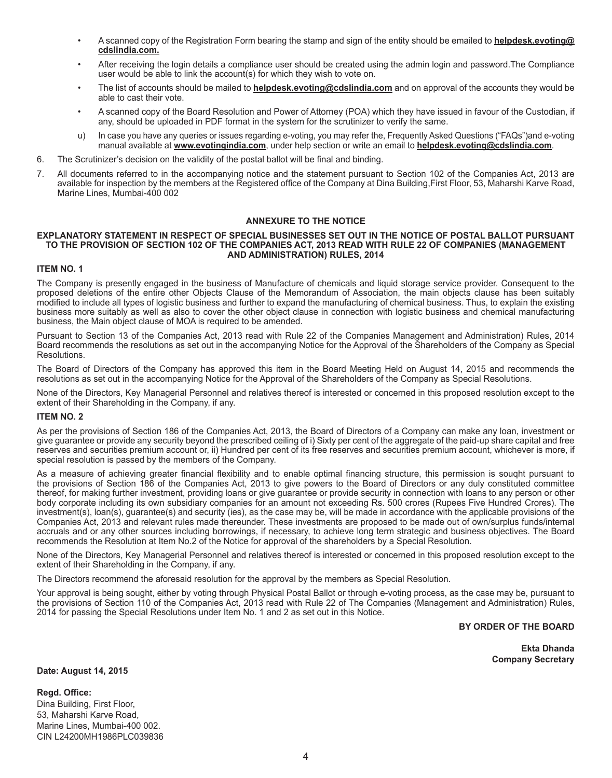- A scanned copy of the Registration Form bearing the stamp and sign of the entity should be emailed to **helpdesk.evoting@ cdslindia.com.**
- After receiving the login details a compliance user should be created using the admin login and password.The Compliance user would be able to link the account(s) for which they wish to vote on.
- The list of accounts should be mailed to **helpdesk.evoting@cdslindia.com** and on approval of the accounts they would be able to cast their vote.
- A scanned copy of the Board Resolution and Power of Attorney (POA) which they have issued in favour of the Custodian, if any, should be uploaded in PDF format in the system for the scrutinizer to verify the same.
- u) In case you have any queries or issues regarding e-voting, you may refer the, Frequently Asked Questions ("FAQs")and e-voting manual available at **www.evotingindia.com**, under help section or write an email to **helpdesk.evoting@cdslindia.com**.
- 6. The Scrutinizer's decision on the validity of the postal ballot will be final and binding.
- 7. All documents referred to in the accompanying notice and the statement pursuant to Section 102 of the Companies Act, 2013 are available for inspection by the members at the Registered office of the Company at Dina Building,First Floor, 53, Maharshi Karve Road, Marine Lines, Mumbai-400 002

## **ANNEXURE TO THE NOTICE**

#### **EXPLANATORY STATEMENT IN RESPECT OF SPECIAL BUSINESSES SET OUT IN THE NOTICE OF POSTAL BALLOT PURSUANT TO THE PROVISION OF SECTION 102 OF THE COMPANIES ACT, 2013 READ WITH RULE 22 OF COMPANIES (MANAGEMENT AND ADMINISTRATION) RULES, 2014**

## **ITEM NO. 1**

The Company is presently engaged in the business of Manufacture of chemicals and liquid storage service provider. Consequent to the proposed deletions of the entire other Objects Clause of the Memorandum of Association, the main objects clause has been suitably modified to include all types of logistic business and further to expand the manufacturing of chemical business. Thus, to explain the existing business more suitably as well as also to cover the other object clause in connection with logistic business and chemical manufacturing business, the Main object clause of MOA is required to be amended.

Pursuant to Section 13 of the Companies Act, 2013 read with Rule 22 of the Companies Management and Administration) Rules, 2014 Board recommends the resolutions as set out in the accompanying Notice for the Approval of the Shareholders of the Company as Special Resolutions.

The Board of Directors of the Company has approved this item in the Board Meeting Held on August 14, 2015 and recommends the resolutions as set out in the accompanying Notice for the Approval of the Shareholders of the Company as Special Resolutions.

None of the Directors, Key Managerial Personnel and relatives thereof is interested or concerned in this proposed resolution except to the extent of their Shareholding in the Company, if any.

## **ITEM NO. 2**

As per the provisions of Section 186 of the Companies Act, 2013, the Board of Directors of a Company can make any loan, investment or give guarantee or provide any security beyond the prescribed ceiling of i) Sixty per cent of the aggregate of the paid-up share capital and free reserves and securities premium account or, ii) Hundred per cent of its free reserves and securities premium account, whichever is more, if special resolution is passed by the members of the Company.

As a measure of achieving greater financial flexibility and to enable optimal financing structure, this permission is souqht pursuant to the provisions of Section 186 of the Companies Act, 2013 to give powers to the Board of Directors or any duly constituted committee thereof, for making further investment, providing loans or give guarantee or provide security in connection with loans to any person or other body corporate including its own subsidiary companies for an amount not exceeding Rs. 500 crores (Rupees Five Hundred Crores). The investment(s), loan(s), guarantee(s) and security (ies), as the case may be, will be made in accordance with the applicable provisions of the Companies Act, 2013 and relevant rules made thereunder. These investments are proposed to be made out of own/surplus funds/internal accruals and or any other sources including borrowings, if necessary, to achieve long term strategic and business objectives. The Board recommends the Resolution at Item No.2 of the Notice for approval of the shareholders by a Special Resolution.

None of the Directors, Key Managerial Personnel and relatives thereof is interested or concerned in this proposed resolution except to the extent of their Shareholding in the Company, if any.

The Directors recommend the aforesaid resolution for the approval by the members as Special Resolution.

Your approval is being sought, either by voting through Physical Postal Ballot or through e-voting process, as the case may be, pursuant to the provisions of Section 110 of the Companies Act, 2013 read with Rule 22 of The Companies (Management and Administration) Rules, 2014 for passing the Special Resolutions under Item No. 1 and 2 as set out in this Notice.

**BY ORDER OF THE BOARD**

**Ekta Dhanda Company Secretary**

**Date: August 14, 2015**

**Regd. Office:** Dina Building, First Floor, 53, Maharshi Karve Road, Marine Lines, Mumbai-400 002. CIN L24200MH1986PLC039836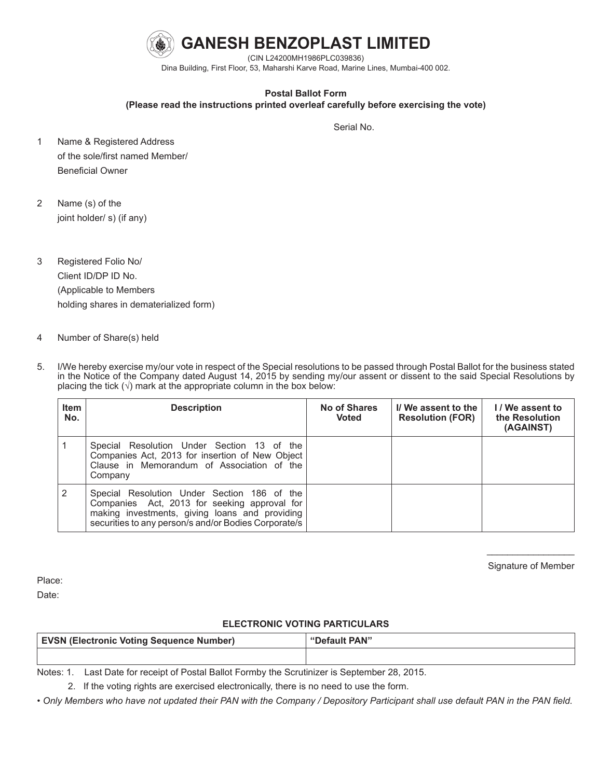

Dina Building, First Floor, 53, Maharshi Karve Road, Marine Lines, Mumbai-400 002.

# **Postal Ballot Form**

**(Please read the instructions printed overleaf carefully before exercising the vote)**

Serial No. 2006. In the contract of the contract of the contract of the Serial No.

- 1 Name & Registered Address of the sole/first named Member/ Beneficial Owner
- 2 Name (s) of the joint holder/ s) (if any)
- 3 Registered Folio No/ Client ID/DP ID No. (Applicable to Members holding shares in dematerialized form)
- 4 Number of Share(s) held
- 5. I/We hereby exercise my/our vote in respect of the Special resolutions to be passed through Postal Ballot for the business stated in the Notice of the Company dated August 14, 2015 by sending my/our assent or dissent to the said Special Resolutions by placing the tick  $(\sqrt{)}$  mark at the appropriate column in the box below:

| <b>Item</b><br>No. | <b>Description</b>                                                                                                                                                                                    | No of Shares<br><b>Voted</b> | I/We assent to the<br><b>Resolution (FOR)</b> | I/We assent to<br>the Resolution<br>(AGAINST) |
|--------------------|-------------------------------------------------------------------------------------------------------------------------------------------------------------------------------------------------------|------------------------------|-----------------------------------------------|-----------------------------------------------|
|                    | Special Resolution Under Section 13 of the<br>Companies Act, 2013 for insertion of New Object<br>Clause in Memorandum of Association of the<br>Company                                                |                              |                                               |                                               |
| 2                  | Special Resolution Under Section 186 of the<br>Companies Act, 2013 for seeking approval for<br>making investments, giving loans and providing<br>securities to any person/s and/or Bodies Corporate/s |                              |                                               |                                               |

 $\mathcal{L}=\mathcal{L}$  , we have the set of the set of the set of the set of the set of the set of the set of the set of the set of the set of the set of the set of the set of the set of the set of the set of the set of the set o Signature of Member

Place: Date:

# **ELECTRONIC VOTING PARTICULARS**

| <b>EVSN (Electronic Voting Sequence Number)</b> | "Default PAN" |
|-------------------------------------------------|---------------|
|                                                 |               |

Notes: 1. Last Date for receipt of Postal Ballot Formby the Scrutinizer is September 28, 2015.

2. If the voting rights are exercised electronically, there is no need to use the form.

*• Only Members who have not updated their PAN with the Company / Depository Participant shall use default PAN in the PAN field.*